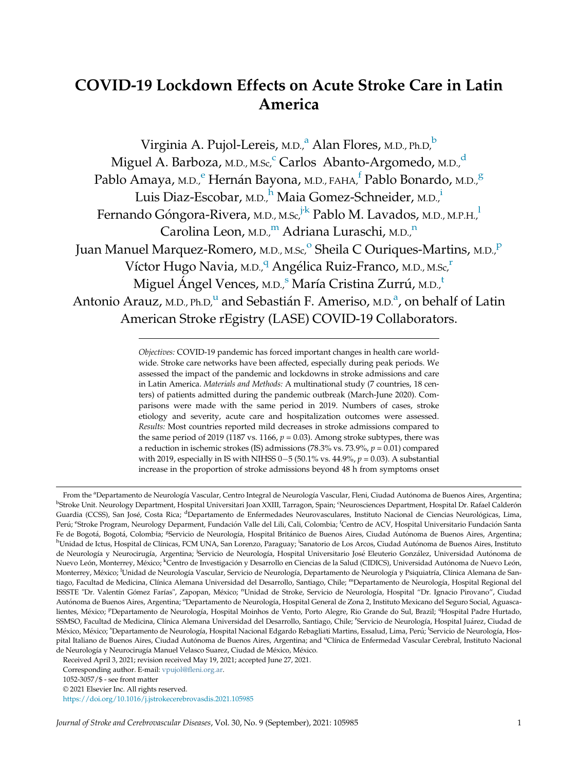# COVID-19 Lockdown Effects on Acute Stroke Care in Latin America

Virgini[a](#page-0-0) A. Pujol-Lereis, M.D., $^a$  Alan Flores, M.D., Ph.D. $^b$  $^b$ Miguel A. Barboza, M.D., M.S[c](#page-0-0),<sup>c</sup> Carlos Abanto-Argome[d](#page-0-0)o, M.D.,<sup>d</sup> Pablo Amaya, m.d.,<sup>[e](#page-0-0)</sup> Hernán Bayona, m.d., <sub>FAHA,</sub>f Pablo Bonardo, m.d.,<sup>[g](#page-0-0)</sup> Luis Diaz-Escobar, M.D.,<sup>[h](#page-0-0)</sup> Maia Gomez-Schneider, M.D.,<sup>i</sup> Fernando Góngora-Rivera, m.<sub>D., M.Sc,</sub><sup>[j](#page-0-0):[k](#page-0-0)</sup> Pab[l](#page-0-0)o M. Lavados, m.<sub>D., M.P.H.,</sub>l Carolina Leon, M.D.,<sup>[m](#page-0-0)</sup> Adria[n](#page-0-0)a Luraschi, M.D.,<sup>n</sup> Juan Manuel Marquez-R[o](#page-0-0)mero, M.D., M.Sc,<su[p](#page-0-0)>o</sup> Sheila C Ouriques-Martins, M.D.,<sup>p</sup> Víctor Hugo Navia, M.D.,<sup>[q](#page-0-0)</sup> Angélica Ruiz-Franco, M.D., M.Sc,<sup>r</sup> Miguel Ángel Vence[s](#page-0-0), M.D.<sup>5</sup> María Cris[t](#page-0-0)ina Zurrú, M.D.<sup>t</sup> Antonio Ar[a](#page-0-0)uz, <sub>M.D., Ph.D,</sub><sup>u</sup> and Sebastián F. Ameriso, <sub>M.D.</sub><sup>a</sup>, on behalf of Latin American Stroke rEgistry (LASE) COVID-19 Collaborators.

> <span id="page-0-0"></span>Objectives: COVID-19 pandemic has forced important changes in health care worldwide. Stroke care networks have been affected, especially during peak periods. We assessed the impact of the pandemic and lockdowns in stroke admissions and care in Latin America. Materials and Methods: A multinational study (7 countries, 18 centers) of patients admitted during the pandemic outbreak (March-June 2020). Comparisons were made with the same period in 2019. Numbers of cases, stroke etiology and severity, acute care and hospitalization outcomes were assessed. Results: Most countries reported mild decreases in stroke admissions compared to the same period of 2019 (1187 vs. 1166,  $p = 0.03$ ). Among stroke subtypes, there was a reduction in ischemic strokes (IS) admissions (78.3% vs. 73.9%,  $p = 0.01$ ) compared with 2019, especially in IS with NIHSS 0-5 (50.1% vs. 44.9%,  $p = 0.03$ ). A substantial increase in the proportion of stroke admissions beyond 48 h from symptoms onset

From the <sup>a</sup>Departamento de Neurología Vascular, Centro Integral de Neurología Vascular, Fleni, Ciudad Autónoma de Buenos Aires, Argentina; <sup>b</sup>Stroke Unit. Neurology Department, Hospital Universitari Joan XXIII, Tarragon, Spain; <sup>c</sup>Neurosciences Department, Hospital Dr. Rafael Calderón Guardia (CCSS), San José, Costa Rica; <sup>d</sup>Departamento de Enfermedades Neurovasculares, Instituto Nacional de Ciencias Neurológicas, Lima, Perú; <sup>e</sup>Stroke Program, Neurology Deparment, Fundación Valle del Lili, Cali, Colombia; <sup>f</sup>Centro de ACV, Hospital Universitario Fundación Santa Fe de Bogotá, Bogotá, Colombia; <sup>g</sup>Servicio de Neurología, Hospital Británico de Buenos Aires, Ciudad Autónoma de Buenos Aires, Argentina; <sup>h</sup>Unidad de Ictus, Hospital de Clínicas, FCM UNA, San Lorenzo, Paraguay; <sup>i</sup>Sanatorio de Los Arcos, Ciudad Autónoma de Buenos Aires, Instituto de Neurología y Neurocirugía, Argentina; <sup>i</sup>Servicio de Neurología, Hospital Universitario José Eleuterio González, Universidad Autónoma de Nuevo León, Monterrey, México; <sup>k</sup>Centro de Investigación y Desarrollo en Ciencias de la Salud (CIDICS), Universidad Autónoma de Nuevo León, Monterrey, México; <sup>I</sup>Unidad de Neurología Vascular, Servicio de Neurología, Departamento de Neurología y Psiquiatría, Clínica Alemana de Santiago, Facultad de Medicina, Clínica Alemana Universidad del Desarrollo, Santiago, Chile; <sup>m</sup>Departamento de Neurología, Hospital Regional del ISSSTE "Dr. Valentín Gómez Farías", Zapopan, México; <sup>n</sup>Unidad de Stroke, Servicio de Neurología, Hospital "Dr. Ignacio Pirovano", Ciudad Autónoma de Buenos Aires, Argentina; <sup>o</sup>Departamento de Neurología, Hospital General de Zona 2, Instituto Mexicano del Seguro Social, Aguascalientes, México; <sup>p</sup>Departamento de Neurología, Hospital Moinhos de Vento, Porto Alegre, Rio Grande do Sul, Brazil; <sup>q</sup>Hospital Padre Hurtado, SSMSO, Facultad de Medicina, Clínica Alemana Universidad del Desarrollo, Santiago, Chile; <sup>r</sup>Servicio de Neurología, Hospital Juárez, Ciudad de México, México; <sup>s</sup>Departamento de Neurología, Hospital Nacional Edgardo Rebagliati Martins, Essalud, Lima, Perú; <sup>t</sup>Servicio de Neurología, Hospital Italiano de Buenos Aires, Ciudad Autónoma de Buenos Aires, Argentina; and <sup>u</sup>Clínica de Enfermedad Vascular Cerebral, Instituto Nacional de Neurología y Neurocirugía Manuel Velasco Suarez, Ciudad de México, México.

Received April 3, 2021; revision received May 19, 2021; accepted June 27, 2021.

Corresponding author. E-mail: vpujol@fl[eni.org.ar.](mailto:vpujol@fleni.org.ar)

<sup>1052-3057/\$ -</sup> see front matter

<sup>© 2021</sup> Elsevier Inc. All rights reserved. <https://doi.org/10.1016/j.jstrokecerebrovasdis.2021.105985>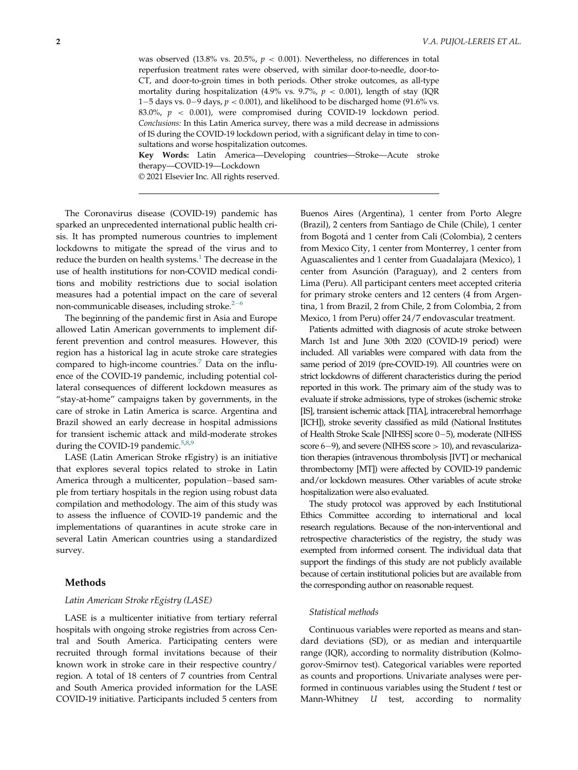was observed (13.8% vs. 20.5%,  $p < 0.001$ ). Nevertheless, no differences in total reperfusion treatment rates were observed, with similar door-to-needle, door-to-CT, and door-to-groin times in both periods. Other stroke outcomes, as all-type mortality during hospitalization (4.9% vs. 9.7%,  $p < 0.001$ ), length of stay (IQR 1-5 days vs. 0-9 days,  $p < 0.001$ ), and likelihood to be discharged home (91.6% vs. 83.0%,  $p < 0.001$ ), were compromised during COVID-19 lockdown period. Conclusions: In this Latin America survey, there was a mild decrease in admissions of IS during the COVID-19 lockdown period, with a significant delay in time to consultations and worse hospitalization outcomes.

Key Words: Latin America—Developing countries—Stroke—Acute stroke therapy—COVID-19—Lockdown

© 2021 Elsevier Inc. All rights reserved.

The Coronavirus disease (COVID-19) pandemic has sparked an unprecedented international public health crisis. It has prompted numerous countries to implement lockdowns to mitigate the spread of the virus and to reduce the burden on health systems. $<sup>1</sup>$  $<sup>1</sup>$  $<sup>1</sup>$  The decrease in the</sup> use of health institutions for non-COVID medical conditions and mobility restrictions due to social isolation measures had a potential impact on the care of several non-communicable diseases, including stroke. $2-6$  $2-6$  $2-6$ 

The beginning of the pandemic first in Asia and Europe allowed Latin American governments to implement different prevention and control measures. However, this region has a historical lag in acute stroke care strategies compared to high-income countries.<sup>[7](#page-5-2)</sup> Data on the influence of the COVID-19 pandemic, including potential collateral consequences of different lockdown measures as "stay-at-home" campaigns taken by governments, in the care of stroke in Latin America is scarce. Argentina and Brazil showed an early decrease in hospital admissions for transient ischemic attack and mild-moderate strokes during the COVID-19 pandemic.<sup>[5](#page-5-3),[8](#page-5-4)[,9](#page-5-5)</sup>

LASE (Latin American Stroke rEgistry) is an initiative that explores several topics related to stroke in Latin America through a multicenter, population-based sample from tertiary hospitals in the region using robust data compilation and methodology. The aim of this study was to assess the influence of COVID-19 pandemic and the implementations of quarantines in acute stroke care in several Latin American countries using a standardized survey.

# Methods

## Latin American Stroke rEgistry (LASE)

LASE is a multicenter initiative from tertiary referral hospitals with ongoing stroke registries from across Central and South America. Participating centers were recruited through formal invitations because of their known work in stroke care in their respective country/ region. A total of 18 centers of 7 countries from Central and South America provided information for the LASE COVID-19 initiative. Participants included 5 centers from

Buenos Aires (Argentina), 1 center from Porto Alegre (Brazil), 2 centers from Santiago de Chile (Chile), 1 center from Bogota and 1 center from Cali (Colombia), 2 centers from Mexico City, 1 center from Monterrey, 1 center from Aguascalientes and 1 center from Guadalajara (Mexico), 1 center from Asunción (Paraguay), and 2 centers from Lima (Peru). All participant centers meet accepted criteria for primary stroke centers and 12 centers (4 from Argentina, 1 from Brazil, 2 from Chile, 2 from Colombia, 2 from Mexico, 1 from Peru) offer 24/7 endovascular treatment.

Patients admitted with diagnosis of acute stroke between March 1st and June 30th 2020 (COVID-19 period) were included. All variables were compared with data from the same period of 2019 (pre-COVID-19). All countries were on strict lockdowns of different characteristics during the period reported in this work. The primary aim of the study was to evaluate if stroke admissions, type of strokes (ischemic stroke [IS], transient ischemic attack [TIA], intracerebral hemorrhage [ICH]), stroke severity classified as mild (National Institutes of Health Stroke Scale [NIHSS] score 0-5), moderate (NIHSS score  $6-9$ ), and severe (NIHSS score  $> 10$ ), and revascularization therapies (intravenous thrombolysis [IVT] or mechanical thrombectomy [MT]) were affected by COVID-19 pandemic and/or lockdown measures. Other variables of acute stroke hospitalization were also evaluated.

The study protocol was approved by each Institutional Ethics Committee according to international and local research regulations. Because of the non-interventional and retrospective characteristics of the registry, the study was exempted from informed consent. The individual data that support the findings of this study are not publicly available because of certain institutional policies but are available from the corresponding author on reasonable request.

#### Statistical methods

Continuous variables were reported as means and standard deviations (SD), or as median and interquartile range (IQR), according to normality distribution (Kolmogorov-Smirnov test). Categorical variables were reported as counts and proportions. Univariate analyses were performed in continuous variables using the Student t test or Mann-Whitney U test, according to normality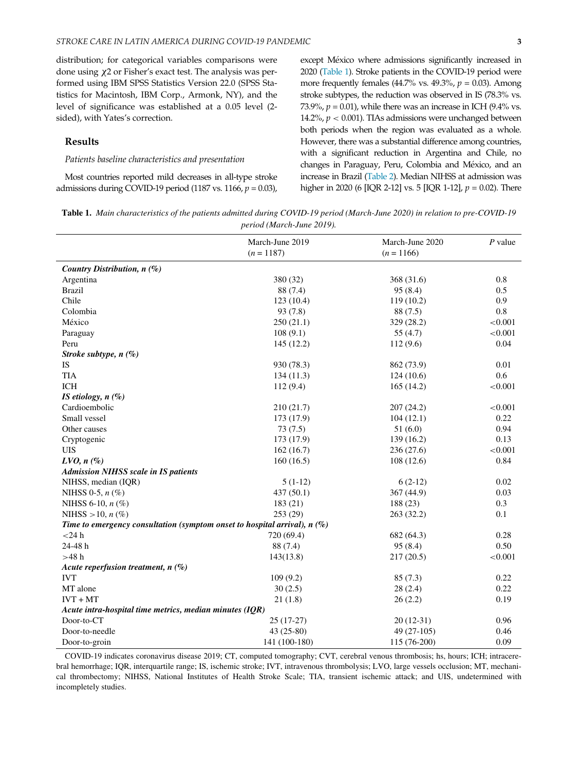distribution; for categorical variables comparisons were done using x2 or Fisher's exact test. The analysis was performed using IBM SPSS Statistics Version 22.0 (SPSS Statistics for Macintosh, IBM Corp., Armonk, NY), and the level of significance was established at a 0.05 level (2 sided), with Yates's correction.

# Results

### Patients baseline characteristics and presentation

Most countries reported mild decreases in all-type stroke admissions during COVID-19 period (1187 vs. 1166,  $p = 0.03$ ),

except México where admissions significantly increased in 2020 [\(Table 1](#page-2-0)). Stroke patients in the COVID-19 period were more frequently females (44.7% vs. 49.3%,  $p = 0.03$ ). Among stroke subtypes, the reduction was observed in IS (78.3% vs. 73.9%,  $p = 0.01$ ), while there was an increase in ICH (9.4% vs. 14.2%,  $p < 0.001$ ). TIAs admissions were unchanged between both periods when the region was evaluated as a whole. However, there was a substantial difference among countries, with a significant reduction in Argentina and Chile, no changes in Paraguay, Peru, Colombia and México, and an increase in Brazil [\(Table 2](#page-3-0)). Median NIHSS at admission was higher in 2020 (6 [IQR 2-12] vs. 5 [IQR 1-12],  $p = 0.02$ ). There

<span id="page-2-0"></span>Table 1. Main characteristics of the patients admitted during COVID-19 period (March-June 2020) in relation to pre-COVID-19 period (March-June 2019).

|                                                                             | March-June 2019<br>$(n = 1187)$ | March-June 2020<br>$(n = 1166)$ | $P$ value |  |
|-----------------------------------------------------------------------------|---------------------------------|---------------------------------|-----------|--|
|                                                                             |                                 |                                 |           |  |
| Country Distribution, n (%)                                                 |                                 |                                 |           |  |
| Argentina                                                                   | 380 (32)                        | 368 (31.6)                      | 0.8       |  |
| <b>Brazil</b>                                                               | 88 (7.4)                        | 95(8.4)                         | 0.5       |  |
| Chile                                                                       | 123(10.4)                       | 119(10.2)                       | 0.9       |  |
| Colombia                                                                    | 93(7.8)                         | 88 (7.5)                        | 0.8       |  |
| México                                                                      | 250(21.1)                       | 329 (28.2)                      | < 0.001   |  |
| Paraguay                                                                    | 108(9.1)                        | 55 $(4.7)$                      | < 0.001   |  |
| Peru                                                                        | 145 (12.2)                      | 112(9.6)                        | 0.04      |  |
| Stroke subtype, $n$ (%)                                                     |                                 |                                 |           |  |
| IS                                                                          | 930 (78.3)                      | 862 (73.9)                      | 0.01      |  |
| <b>TIA</b>                                                                  | 134(11.3)                       | 124(10.6)                       | 0.6       |  |
| <b>ICH</b>                                                                  | 112(9.4)                        | 165(14.2)                       | < 0.001   |  |
| IS etiology, $n$ (%)                                                        |                                 |                                 |           |  |
| Cardioembolic                                                               | 210 (21.7)                      | 207(24.2)                       | < 0.001   |  |
| Small vessel                                                                | 173 (17.9)                      | 104(12.1)                       | 0.22      |  |
| Other causes                                                                | 73(7.5)                         | 51(6.0)                         | 0.94      |  |
| Cryptogenic                                                                 | 173 (17.9)                      | 139(16.2)                       | 0.13      |  |
| <b>UIS</b>                                                                  | 162(16.7)                       | 236(27.6)                       | < 0.001   |  |
| $LVO, n(\%)$                                                                | 160(16.5)                       | 108(12.6)                       | 0.84      |  |
| <b>Admission NIHSS scale in IS patients</b>                                 |                                 |                                 |           |  |
| NIHSS, median (IQR)                                                         | $5(1-12)$                       | $6(2-12)$                       | 0.02      |  |
| NIHSS 0-5, $n$ (%)                                                          | 437 (50.1)                      | 367(44.9)                       | 0.03      |  |
| NIHSS 6-10, $n$ (%)                                                         | 183(21)                         | 188 (23)                        | 0.3       |  |
| NIHSS $>10$ , $n$ (%)                                                       | 253 (29)                        | 263(32.2)                       | 0.1       |  |
| Time to emergency consultation (symptom onset to hospital arrival), $n$ (%) |                                 |                                 |           |  |
| $<$ 24 h                                                                    | 720 (69.4)                      | 682 (64.3)                      | 0.28      |  |
| 24-48 h                                                                     | 88 (7.4)                        | 95(8.4)                         | 0.50      |  |
| $>48$ h                                                                     | 143(13.8)                       | 217(20.5)                       | < 0.001   |  |
| Acute reperfusion treatment, $n(\%)$                                        |                                 |                                 |           |  |
| <b>IVT</b>                                                                  | 109(9.2)                        | 85(7.3)                         | 0.22      |  |
| MT alone                                                                    | 30(2.5)                         | 28(2.4)                         | 0.22      |  |
| $IVT + MT$                                                                  | 21(1.8)                         | 26(2.2)                         | 0.19      |  |
| Acute intra-hospital time metrics, median minutes $(IQR)$                   |                                 |                                 |           |  |
| Door-to-CT                                                                  | $25(17-27)$                     | $20(12-31)$                     | 0.96      |  |
| Door-to-needle                                                              | 43 (25-80)                      | 49 (27-105)                     | 0.46      |  |
| Door-to-groin                                                               | 141 (100-180)                   | 115 (76-200)                    | 0.09      |  |

COVID-19 indicates coronavirus disease 2019; CT, computed tomography; CVT, cerebral venous thrombosis; hs, hours; ICH; intracerebral hemorrhage; IQR, interquartile range; IS, ischemic stroke; IVT, intravenous thrombolysis; LVO, large vessels occlusion; MT, mechanical thrombectomy; NIHSS, National Institutes of Health Stroke Scale; TIA, transient ischemic attack; and UIS, undetermined with incompletely studies.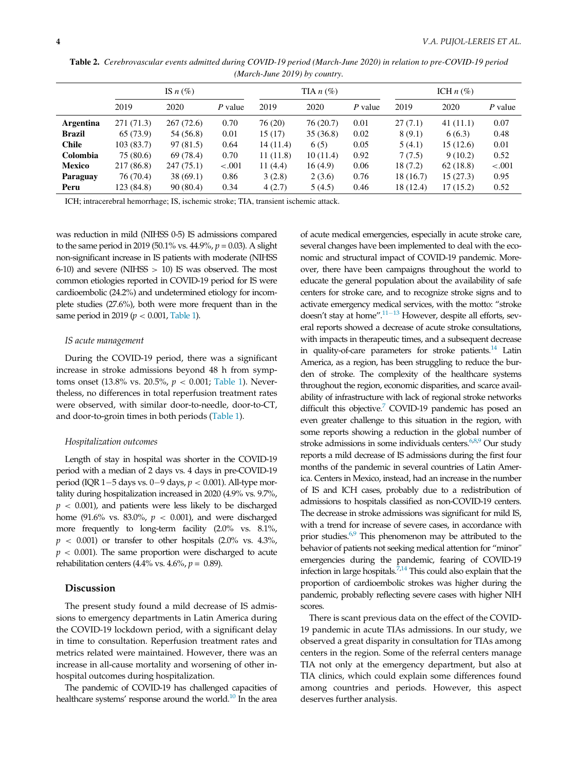<span id="page-3-0"></span>

|                  | IS $n(\%)$ |            |         | TIA $n$ (%) |          | ICH $n$ (%) |           |          |           |
|------------------|------------|------------|---------|-------------|----------|-------------|-----------|----------|-----------|
|                  | 2019       | 2020       | P value | 2019        | 2020     | P value     | 2019      | 2020     | $P$ value |
| <b>Argentina</b> | 271 (71.3) | 267(72.6)  | 0.70    | 76 (20)     | 76(20.7) | 0.01        | 27(7.1)   | 41(11.1) | 0.07      |
| Brazil           | 65(73.9)   | 54 (56.8)  | 0.01    | 15(17)      | 35(36.8) | 0.02        | 8(9.1)    | 6(6.3)   | 0.48      |
| <b>Chile</b>     | 103(83.7)  | 97(81.5)   | 0.64    | 14(11.4)    | 6(5)     | 0.05        | 5(4.1)    | 15(12.6) | 0.01      |
| <b>Colombia</b>  | 75 (80.6)  | 69 (78.4)  | 0.70    | 11(11.8)    | 10(11.4) | 0.92        | 7(7.5)    | 9(10.2)  | 0.52      |
| <b>Mexico</b>    | 217 (86.8) | 247 (75.1) | $-.001$ | 11(4.4)     | 16(4.9)  | 0.06        | 18 (7.2)  | 62(18.8) | $-.001$   |
| <b>Paraguay</b>  | 76 (70.4)  | 38(69.1)   | 0.86    | 3(2.8)      | 2(3.6)   | 0.76        | 18 (16.7) | 15(27.3) | 0.95      |
| Peru             | 123 (84.8) | 90(80.4)   | 0.34    | 4(2.7)      | 5(4.5)   | 0.46        | 18 (12.4) | 17(15.2) | 0.52      |

Table 2. Cerebrovascular events admitted during COVID-19 period (March-June 2020) in relation to pre-COVID-19 period (March-June 2019) by country.

ICH; intracerebral hemorrhage; IS, ischemic stroke; TIA, transient ischemic attack.

was reduction in mild (NIHSS 0-5) IS admissions compared to the same period in 2019 (50.1% vs.  $44.9\%$ ,  $p = 0.03$ ). A slight non-significant increase in IS patients with moderate (NIHSS  $6-10$ ) and severe (NIHSS  $> 10$ ) IS was observed. The most common etiologies reported in COVID-19 period for IS were cardioembolic (24.2%) and undetermined etiology for incomplete studies (27.6%), both were more frequent than in the same period in 2019 ( $p < 0.001$ , [Table 1](#page-2-0)).

#### IS acute management

During the COVID-19 period, there was a significant increase in stroke admissions beyond 48 h from symptoms onset (13.8% vs. 20.5%,  $p < 0.001$ ; [Table 1](#page-2-0)). Nevertheless, no differences in total reperfusion treatment rates were observed, with similar door-to-needle, door-to-CT, and door-to-groin times in both periods ([Table 1](#page-2-0)).

#### Hospitalization outcomes

Length of stay in hospital was shorter in the COVID-19 period with a median of 2 days vs. 4 days in pre-COVID-19 period (IQR 1-5 days vs. 0-9 days,  $p < 0.001$ ). All-type mortality during hospitalization increased in 2020 (4.9% vs. 9.7%,  $p < 0.001$ ), and patients were less likely to be discharged home (91.6% vs. 83.0%,  $p < 0.001$ ), and were discharged more frequently to long-term facility (2.0% vs. 8.1%,  $p$  < 0.001) or transfer to other hospitals (2.0% vs. 4.3%,  $p < 0.001$ ). The same proportion were discharged to acute rehabilitation centers (4.4% vs. 4.6%,  $p = 0.89$ ).

## Discussion

The present study found a mild decrease of IS admissions to emergency departments in Latin America during the COVID-19 lockdown period, with a significant delay in time to consultation. Reperfusion treatment rates and metrics related were maintained. However, there was an increase in all-cause mortality and worsening of other inhospital outcomes during hospitalization.

The pandemic of COVID-19 has challenged capacities of healthcare systems' response around the world. $10$  In the area of acute medical emergencies, especially in acute stroke care, several changes have been implemented to deal with the economic and structural impact of COVID-19 pandemic. Moreover, there have been campaigns throughout the world to educate the general population about the availability of safe centers for stroke care, and to recognize stroke signs and to activate emergency medical services, with the motto: "stroke doesn't stay at home". $11-13$  $11-13$  $11-13$  However, despite all efforts, several reports showed a decrease of acute stroke consultations, with impacts in therapeutic times, and a subsequent decrease in quality-of-care parameters for stroke patients.<sup>14</sup> Latin America, as a region, has been struggling to reduce the burden of stroke. The complexity of the healthcare systems throughout the region, economic disparities, and scarce availability of infrastructure with lack of regional stroke networks difficult this objective. $7$  COVID-19 pandemic has posed an even greater challenge to this situation in the region, with some reports showing a reduction in the global number of stroke admissions in some individuals centers.<sup>6,[8](#page-5-4)[,9](#page-5-5)</sup> Our study reports a mild decrease of IS admissions during the first four months of the pandemic in several countries of Latin America. Centers in Mexico, instead, had an increase in the number of IS and ICH cases, probably due to a redistribution of admissions to hospitals classified as non-COVID-19 centers. The decrease in stroke admissions was significant for mild IS, with a trend for increase of severe cases, in accordance with prior studies.<sup>[6,](#page-5-9)[9](#page-5-5)</sup> This phenomenon may be attributed to the behavior of patients not seeking medical attention for "minor" emergencies during the pandemic, fearing of COVID-19 infection in large hospitals. $\frac{7}{14}$  $\frac{7}{14}$  $\frac{7}{14}$  This could also explain that the proportion of cardioembolic strokes was higher during the pandemic, probably reflecting severe cases with higher NIH scores.

There is scant previous data on the effect of the COVID-19 pandemic in acute TIAs admissions. In our study, we observed a great disparity in consultation for TIAs among centers in the region. Some of the referral centers manage TIA not only at the emergency department, but also at TIA clinics, which could explain some differences found among countries and periods. However, this aspect deserves further analysis.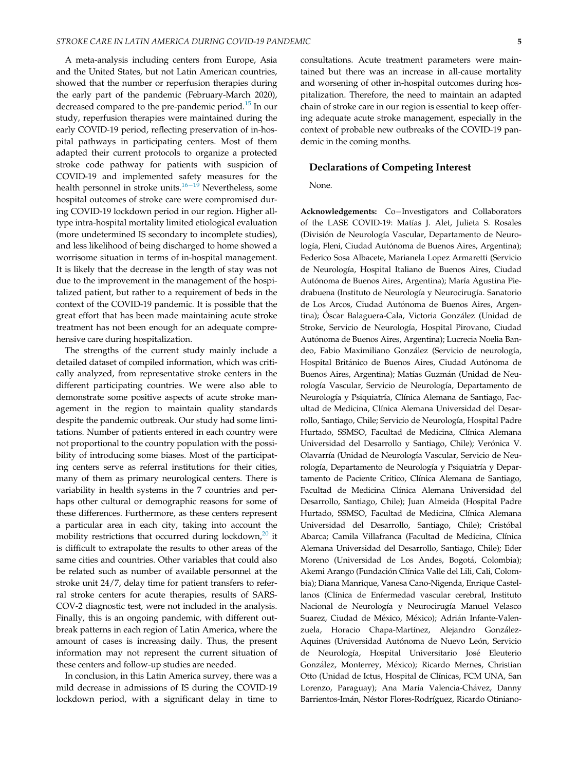A meta-analysis including centers from Europe, Asia and the United States, but not Latin American countries, showed that the number or reperfusion therapies during the early part of the pandemic (February-March 2020), decreased compared to the pre-pandemic period.<sup>[15](#page-5-10)</sup> In our study, reperfusion therapies were maintained during the early COVID-19 period, reflecting preservation of in-hospital pathways in participating centers. Most of them adapted their current protocols to organize a protected stroke code pathway for patients with suspicion of COVID-19 and implemented safety measures for the health personnel in stroke units. $16-19$  $16-19$  $16-19$  Nevertheless, some hospital outcomes of stroke care were compromised during COVID-19 lockdown period in our region. Higher alltype intra-hospital mortality limited etiological evaluation (more undetermined IS secondary to incomplete studies), and less likelihood of being discharged to home showed a worrisome situation in terms of in-hospital management. It is likely that the decrease in the length of stay was not due to the improvement in the management of the hospitalized patient, but rather to a requirement of beds in the context of the COVID-19 pandemic. It is possible that the great effort that has been made maintaining acute stroke treatment has not been enough for an adequate comprehensive care during hospitalization.

The strengths of the current study mainly include a detailed dataset of compiled information, which was critically analyzed, from representative stroke centers in the different participating countries. We were also able to demonstrate some positive aspects of acute stroke management in the region to maintain quality standards despite the pandemic outbreak. Our study had some limitations. Number of patients entered in each country were not proportional to the country population with the possibility of introducing some biases. Most of the participating centers serve as referral institutions for their cities, many of them as primary neurological centers. There is variability in health systems in the 7 countries and perhaps other cultural or demographic reasons for some of these differences. Furthermore, as these centers represent a particular area in each city, taking into account the mobility restrictions that occurred during lockdown, $20$  it is difficult to extrapolate the results to other areas of the same cities and countries. Other variables that could also be related such as number of available personnel at the stroke unit 24/7, delay time for patient transfers to referral stroke centers for acute therapies, results of SARS-COV-2 diagnostic test, were not included in the analysis. Finally, this is an ongoing pandemic, with different outbreak patterns in each region of Latin America, where the amount of cases is increasing daily. Thus, the present information may not represent the current situation of these centers and follow-up studies are needed.

In conclusion, in this Latin America survey, there was a mild decrease in admissions of IS during the COVID-19 lockdown period, with a significant delay in time to consultations. Acute treatment parameters were maintained but there was an increase in all-cause mortality and worsening of other in-hospital outcomes during hospitalization. Therefore, the need to maintain an adapted chain of stroke care in our region is essential to keep offering adequate acute stroke management, especially in the context of probable new outbreaks of the COVID-19 pandemic in the coming months.

#### Declarations of Competing Interest

None.

Acknowledgements: Co-Investigators and Collaborators of the LASE COVID-19: Matías J. Alet, Julieta S. Rosales (Division de Neurología Vascular, Departamento de Neuro logía, Fleni, Ciudad Autónoma de Buenos Aires, Argentina); Federico Sosa Albacete, Marianela Lopez Armaretti (Servicio de Neurología, Hospital Italiano de Buenos Aires, Ciudad Autónoma de Buenos Aires, Argentina); María Agustina Piedrabuena (Instituto de Neurología y Neurocirugía. Sanatorio de Los Arcos, Ciudad Autónoma de Buenos Aires, Argentina); Óscar Balaguera-Cala, Victoria González (Unidad de Stroke, Servicio de Neurología, Hospital Pirovano, Ciudad Autónoma de Buenos Aires, Argentina); Lucrecia Noelia Bandeo, Fabio Maximiliano Gonzalez (Servicio de neurología, Hospital Británico de Buenos Aires, Ciudad Autónoma de Buenos Aires, Argentina); Matías Guzmán (Unidad de Neurología Vascular, Servicio de Neurología, Departamento de Neurología y Psiquiatría, Clínica Alemana de Santiago, Facultad de Medicina, Clínica Alemana Universidad del Desarrollo, Santiago, Chile; Servicio de Neurología, Hospital Padre Hurtado, SSMSO, Facultad de Medicina, Clínica Alemana Universidad del Desarrollo y Santiago, Chile); Verónica V. Olavarría (Unidad de Neurología Vascular, Servicio de Neurología, Departamento de Neurología y Psiquiatría y Departamento de Paciente Critico, Clínica Alemana de Santiago, Facultad de Medicina Clínica Alemana Universidad del Desarrollo, Santiago, Chile); Juan Almeida (Hospital Padre Hurtado, SSMSO, Facultad de Medicina, Clínica Alemana Universidad del Desarrollo, Santiago, Chile); Cristóbal Abarca; Camila Villafranca (Facultad de Medicina, Clínica Alemana Universidad del Desarrollo, Santiago, Chile); Eder Moreno (Universidad de Los Andes, Bogotá, Colombia); Akemi Arango (Fundación Clínica Valle del Lili, Cali, Colombia); Diana Manrique, Vanesa Cano-Nigenda, Enrique Castellanos (Clínica de Enfermedad vascular cerebral, Instituto Nacional de Neurología y Neurocirugía Manuel Velasco Suarez, Ciudad de México, México); Adrián Infante-Valenzuela, Horacio Chapa-Martínez, Alejandro González-Aquines (Universidad Autónoma de Nuevo León, Servicio de Neurología, Hospital Universitario José Eleuterio González, Monterrey, México); Ricardo Mernes, Christian Otto (Unidad de Ictus, Hospital de Clínicas, FCM UNA, San Lorenzo, Paraguay); Ana María Valencia-Chávez, Danny Barrientos-Imán, Néstor Flores-Rodríguez, Ricardo Otiniano